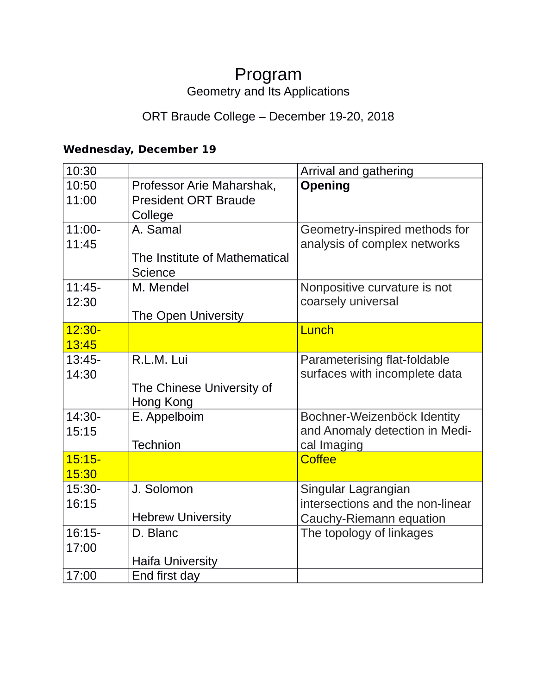# Program Geometry and Its Applications

# ORT Braude College – December 19-20, 2018

# **Wednesday, December 19**

| 10:30    |                               | Arrival and gathering            |
|----------|-------------------------------|----------------------------------|
| 10:50    | Professor Arie Maharshak,     | Opening                          |
| 11:00    | <b>President ORT Braude</b>   |                                  |
|          | College                       |                                  |
| 11:00-   | A. Samal                      | Geometry-inspired methods for    |
| 11:45    |                               | analysis of complex networks     |
|          | The Institute of Mathematical |                                  |
|          | <b>Science</b>                |                                  |
| $11:45-$ | M. Mendel                     | Nonpositive curvature is not     |
| 12:30    |                               | coarsely universal               |
|          | The Open University           |                                  |
| $12:30-$ |                               | Lunch                            |
| 13:45    |                               |                                  |
| $13:45-$ | R.L.M. Lui                    | Parameterising flat-foldable     |
| 14:30    |                               | surfaces with incomplete data    |
|          | The Chinese University of     |                                  |
|          | Hong Kong                     |                                  |
| 14:30-   | E. Appelboim                  | Bochner-Weizenböck Identity      |
| 15:15    |                               | and Anomaly detection in Medi-   |
|          | <b>Technion</b>               | cal Imaging                      |
| $15:15-$ |                               | <b>Coffee</b>                    |
| 15:30    |                               |                                  |
| 15:30-   | J. Solomon                    | Singular Lagrangian              |
| 16:15    |                               | intersections and the non-linear |
|          | <b>Hebrew University</b>      | Cauchy-Riemann equation          |
| $16:15-$ | D. Blanc                      | The topology of linkages         |
| 17:00    |                               |                                  |
|          | <b>Haifa University</b>       |                                  |
| 17:00    | End first day                 |                                  |